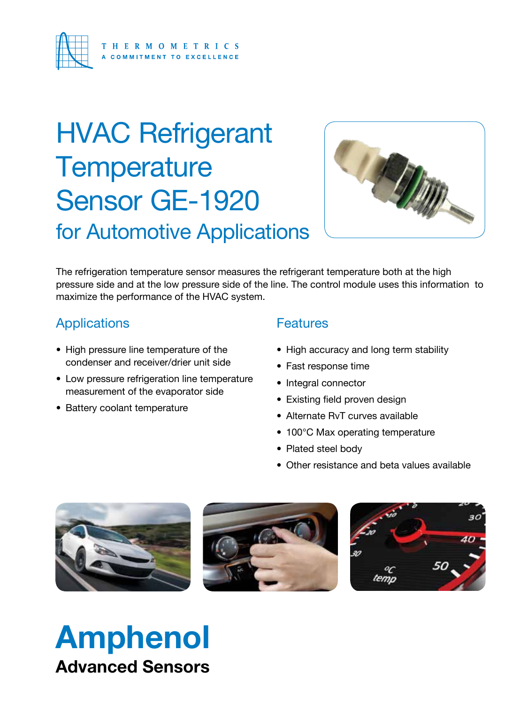

## HVAC Refrigerant **Temperature** Sensor GE-1920 for Automotive Applications



The refrigeration temperature sensor measures the refrigerant temperature both at the high pressure side and at the low pressure side of the line. The control module uses this information to maximize the performance of the HVAC system.

### Applications

- High pressure line temperature of the condenser and receiver/drier unit side
- Low pressure refrigeration line temperature measurement of the evaporator side
- Battery coolant temperature

### **Features**

- High accuracy and long term stability
- Fast response time
- Integral connector
- Existing field proven design
- Alternate RvT curves available
- 100°C Max operating temperature
- Plated steel body
- Other resistance and beta values available







## Amphenol Advanced Sensors